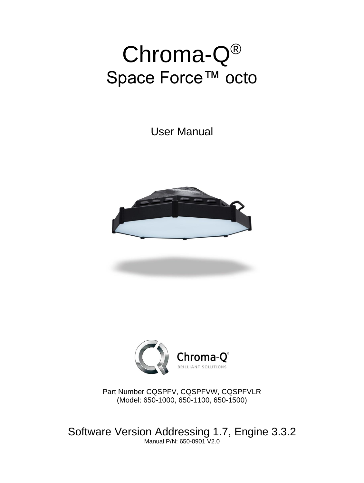# Chroma-Q® Space Force™ octo

User Manual





Part Number CQSPFV, CQSPFVW, CQSPFVLR (Model: 650-1000, 650-1100, 650-1500)

Software Version Addressing 1.7, Engine 3.3.2 Manual P/N: 650-0901 V2.0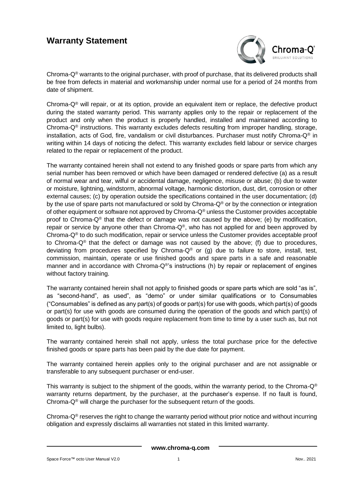### **Warranty Statement**



Chroma- $Q^{\circ}$  warrants to the original purchaser, with proof of purchase, that its delivered products shall be free from defects in material and workmanship under normal use for a period of 24 months from date of shipment.

Chroma- $Q^{\circledR}$  will repair, or at its option, provide an equivalent item or replace, the defective product during the stated warranty period. This warranty applies only to the repair or replacement of the product and only when the product is properly handled, installed and maintained according to Chroma- $Q^{\circ}$  instructions. This warranty excludes defects resulting from improper handling, storage, installation, acts of God, fire, vandalism or civil disturbances. Purchaser must notify Chroma-Q® in writing within 14 days of noticing the defect. This warranty excludes field labour or service charges related to the repair or replacement of the product.

The warranty contained herein shall not extend to any finished goods or spare parts from which any serial number has been removed or which have been damaged or rendered defective (a) as a result of normal wear and tear, wilful or accidental damage, negligence, misuse or abuse; (b) due to water or moisture, lightning, windstorm, abnormal voltage, harmonic distortion, dust, dirt, corrosion or other external causes; (c) by operation outside the specifications contained in the user documentation; (d) by the use of spare parts not manufactured or sold by Chroma-Q<sup>®</sup> or by the connection or integration of other equipment or software not approved by Chroma- $Q^{\circledast}$  unless the Customer provides acceptable proof to Chroma-Q® that the defect or damage was not caused by the above; (e) by modification, repair or service by anyone other than Chroma- $Q^{\circ}$ , who has not applied for and been approved by Chroma-Q® to do such modification, repair or service unless the Customer provides acceptable proof to Chroma-Q® that the defect or damage was not caused by the above; (f) due to procedures, deviating from procedures specified by Chroma- $Q^{\circledast}$  or (g) due to failure to store, install, test, commission, maintain, operate or use finished goods and spare parts in a safe and reasonable manner and in accordance with Chroma-Q®'s instructions (h) by repair or replacement of engines without factory training.

The warranty contained herein shall not apply to finished goods or spare parts which are sold "as is", as "second-hand", as used", as "demo" or under similar qualifications or to Consumables ("Consumables" is defined as any part(s) of goods or part(s) for use with goods, which part(s) of goods or part(s) for use with goods are consumed during the operation of the goods and which part(s) of goods or part(s) for use with goods require replacement from time to time by a user such as, but not limited to, light bulbs).

The warranty contained herein shall not apply, unless the total purchase price for the defective finished goods or spare parts has been paid by the due date for payment.

The warranty contained herein applies only to the original purchaser and are not assignable or transferable to any subsequent purchaser or end-user.

This warranty is subject to the shipment of the goods, within the warranty period, to the Chroma- $Q^{\circledast}$ warranty returns department, by the purchaser, at the purchaser's expense. If no fault is found, Chroma- $Q^{\circledast}$  will charge the purchaser for the subsequent return of the goods.

Chroma- $Q^{\circ}$  reserves the right to change the warranty period without prior notice and without incurring obligation and expressly disclaims all warranties not stated in this limited warranty.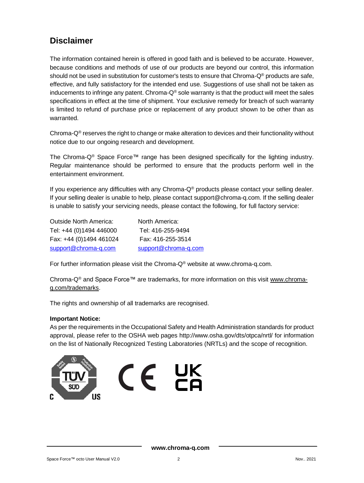### **Disclaimer**

The information contained herein is offered in good faith and is believed to be accurate. However, because conditions and methods of use of our products are beyond our control, this information should not be used in substitution for customer's tests to ensure that Chroma-Q® products are safe, effective, and fully satisfactory for the intended end use. Suggestions of use shall not be taken as inducements to infringe any patent. Chroma- $Q^{\circledast}$  sole warranty is that the product will meet the sales specifications in effect at the time of shipment. Your exclusive remedy for breach of such warranty is limited to refund of purchase price or replacement of any product shown to be other than as warranted.

Chroma- $Q^{\circ}$  reserves the right to change or make alteration to devices and their functionality without notice due to our ongoing research and development.

The Chroma-Q<sup>®</sup> Space Force<sup>™</sup> range has been designed specifically for the lighting industry. Regular maintenance should be performed to ensure that the products perform well in the entertainment environment.

If you experience any difficulties with any Chroma-Q® products please contact your selling dealer. If your selling dealer is unable to help, please contact support@chroma-q.com. If the selling dealer is unable to satisfy your servicing needs, please contact the following, for full factory service:

| Outside North America:  | North America:       |
|-------------------------|----------------------|
| Tel: +44 (0)1494 446000 | Tel: 416-255-9494    |
| Fax: +44 (0)1494 461024 | Fax: 416-255-3514    |
| support@chroma-q.com    | support@chroma-q.com |

For further information please visit the Chroma- $Q^{\circledast}$  website at www.chroma-q.com.

Chroma-Q® and Space Force™ are trademarks, for more information on this visit [www.chroma](http://www.chroma-q.com/trademarks)[q.com/trademarks.](http://www.chroma-q.com/trademarks)

The rights and ownership of all trademarks are recognised.

#### **Important Notice:**

As per the requirements in the Occupational Safety and Health Administration standards for product approval, please refer to the OSHA web pages<http://www.osha.gov/dts/otpca/nrtl/> for information on the list of Nationally Recognized Testing Laboratories (NRTLs) and the scope of recognition.

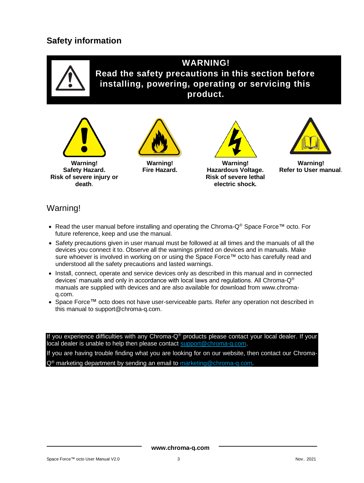### **Safety information**



**WARNING! Read the safety precautions in this section before installing, powering, operating or servicing this product.**





**Warning! Fire Hazard.**





**Warning! Refer to User manual**.

### Warning!

- Read the user manual before installing and operating the Chroma-Q® Space Force™ octo. For future reference, keep and use the manual.
- Safety precautions given in user manual must be followed at all times and the manuals of all the devices you connect it to. Observe all the warnings printed on devices and in manuals. Make sure whoever is involved in working on or using the Space Force™ octo has carefully read and understood all the safety precautions and lasted warnings.
- Install, connect, operate and service devices only as described in this manual and in connected devices' manuals and only in accordance with local laws and regulations. All Chroma- $Q^{\circledast}$ manuals are supplied with devices and are also available for download from www.chromaq.com.
- Space Force™ octo does not have user-serviceable parts. Refer any operation not described in this manual to [support@chroma-q.com.](mailto:support@chroma-q.com)

If you experience difficulties with any Chroma-Q® products please contact your local dealer. If your local dealer is unable to help then please contact [support@chroma-q.com.](mailto:support@chroma-q.com)

If you are having trouble finding what you are looking for on our website, then contact our Chroma-Q® marketing department by sending an email to [marketing@chroma-q.com.](mailto:marketing@chroma-q.com)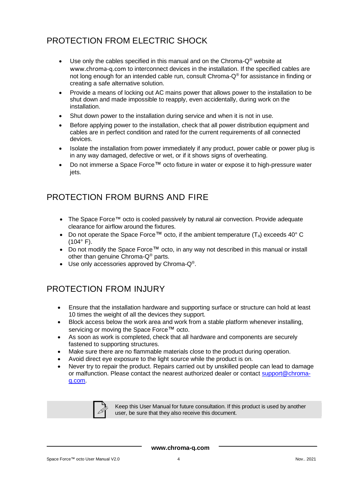# PROTECTION FROM ELECTRIC SHOCK

- Use only the cables specified in this manual and on the Chroma- $Q^{\circ}$  website at [www.chroma-q.com](http://www.chroma-q.com/) to interconnect devices in the installation. If the specified cables are not long enough for an intended cable run, consult Chroma-Q® for assistance in finding or creating a safe alternative solution.
- Provide a means of locking out AC mains power that allows power to the installation to be shut down and made impossible to reapply, even accidentally, during work on the installation.
- Shut down power to the installation during service and when it is not in use.
- Before applying power to the installation, check that all power distribution equipment and cables are in perfect condition and rated for the current requirements of all connected devices.
- Isolate the installation from power immediately if any product, power cable or power plug is in any way damaged, defective or wet, or if it shows signs of overheating.
- Do not immerse a Space Force™ octo fixture in water or expose it to high-pressure water jets.

# PROTECTION FROM BURNS AND FIRE

- The Space Force™ octo is cooled passively by natural air convection. Provide adequate clearance for airflow around the fixtures.
- Do not operate the Space Force<sup>™</sup> octo, if the ambient temperature  $(T_a)$  exceeds 40° C  $(104°)$  F).
- Do not modify the Space Force™ octo, in any way not described in this manual or install other than genuine Chroma-Q® parts.
- Use only accessories approved by Chroma-Q®.

# PROTECTION FROM INJURY

- Ensure that the installation hardware and supporting surface or structure can hold at least 10 times the weight of all the devices they support.
- Block access below the work area and work from a stable platform whenever installing, servicing or moving the Space Force™ octo.
- As soon as work is completed, check that all hardware and components are securely fastened to supporting structures.
- Make sure there are no flammable materials close to the product during operation.
- Avoid direct eye exposure to the light source while the product is on.
- Never try to repair the product. Repairs carried out by unskilled people can lead to damage or malfunction. Please contact the nearest authorized dealer or contact [support@chroma](mailto:support@chroma-q.com)[q.com.](mailto:support@chroma-q.com)



Keep this User Manual for future consultation. If this product is used by another user, be sure that they also receive this document.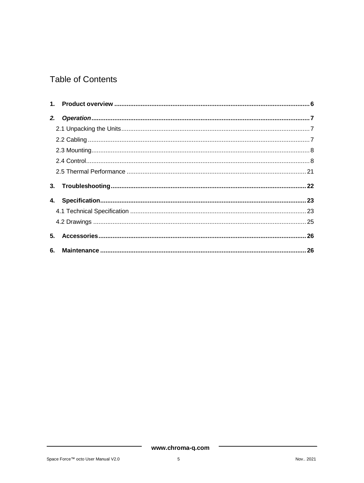# **Table of Contents**

| 5. |  |
|----|--|
|    |  |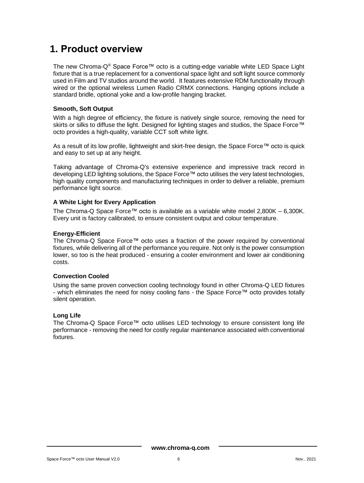# <span id="page-6-0"></span>**1. Product overview**

The new Chroma-Q® Space Force™ octo is a cutting-edge variable white LED Space Light fixture that is a true replacement for a conventional space light and soft light source commonly used in Film and TV studios around the world. It features extensive RDM functionality through wired or the optional wireless Lumen Radio CRMX connections. Hanging options include a standard bridle, optional yoke and a low-profile hanging bracket.

#### **Smooth, Soft Output**

With a high degree of efficiency, the fixture is natively single source, removing the need for skirts or silks to diffuse the light. Designed for lighting stages and studios, the Space Force™ octo provides a high-quality, variable CCT soft white light.

As a result of its low profile, lightweight and skirt-free design, the Space Force™ octo is quick and easy to set up at any height.

Taking advantage of Chroma-Q's extensive experience and impressive track record in developing LED lighting solutions, the Space Force™ octo utilises the very latest technologies, high quality components and manufacturing techniques in order to deliver a reliable, premium performance light source.

#### **A White Light for Every Application**

The Chroma-Q Space Force™ octo is available as a variable white model  $2,800K - 6,300K$ . Every unit is factory calibrated, to ensure consistent output and colour temperature.

#### **Energy-Efficient**

The Chroma-Q Space Force™ octo uses a fraction of the power required by conventional fixtures, while delivering all of the performance you require. Not only is the power consumption lower, so too is the heat produced - ensuring a cooler environment and lower air conditioning costs.

#### **Convection Cooled**

Using the same proven convection cooling technology found in other Chroma-Q LED fixtures - which eliminates the need for noisy cooling fans - the Space Force™ octo provides totally silent operation.

#### **Long Life**

The Chroma-Q Space Force™ octo utilises LED technology to ensure consistent long life performance - removing the need for costly regular maintenance associated with conventional fixtures.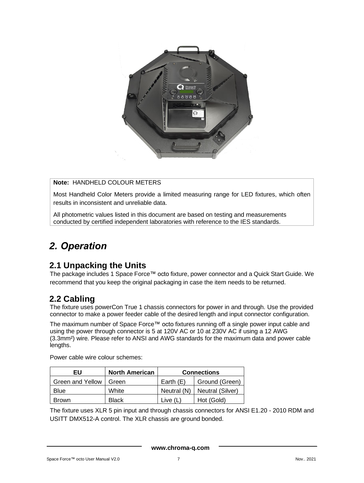

#### **Note:** HANDHELD COLOUR METERS

Most Handheld Color Meters provide a limited measuring range for LED fixtures, which often results in inconsistent and unreliable data.

All photometric values listed in this document are based on testing and measurements conducted by certified independent laboratories with reference to the IES standards.

# <span id="page-7-0"></span>*2. Operation*

### <span id="page-7-1"></span>**2.1 Unpacking the Units**

The package includes 1 Space Force™ octo fixture, power connector and a Quick Start Guide. We recommend that you keep the original packaging in case the item needs to be returned.

### <span id="page-7-2"></span>**2.2 Cabling**

The fixture uses powerCon True 1 chassis connectors for power in and through. Use the provided connector to make a power feeder cable of the desired length and input connector configuration.

The maximum number of Space Force™ octo fixtures running off a single power input cable and using the power through connector is 5 at 120V AC or 10 at 230V AC if using a 12 AWG (3.3mm²) wire. Please refer to ANSI and AWG standards for the maximum data and power cable lengths.

| EU               | <b>North American</b> | <b>Connections</b> |                  |
|------------------|-----------------------|--------------------|------------------|
| Green and Yellow | Green                 | Earth $(E)$        | Ground (Green)   |
| Blue             | White                 | Neutral (N)        | Neutral (Silver) |
| <b>Brown</b>     | <b>Black</b>          | Live (L            | Hot (Gold)       |

Power cable wire colour schemes:

The fixture uses XLR 5 pin input and through chassis connectors for ANSI E1.20 - 2010 RDM and USITT DMX512-A control. The XLR chassis are ground bonded.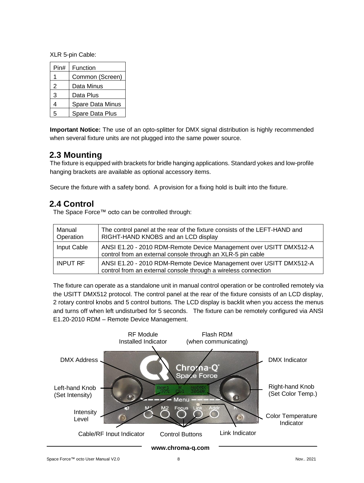XLR 5-pin Cable:

| Pin# | Function         |
|------|------------------|
|      | Common (Screen)  |
| 2    | Data Minus       |
| 3    | Data Plus        |
| 4    | Spare Data Minus |
| 5    | Spare Data Plus  |

**Important Notice:** The use of an opto-splitter for DMX signal distribution is highly recommended when several fixture units are not plugged into the same power source.

### <span id="page-8-0"></span>**2.3 Mounting**

The fixture is equipped with brackets for bridle hanging applications. Standard yokes and low-profile hanging brackets are available as optional accessory items.

Secure the fixture with a safety bond. A provision for a fixing hold is built into the fixture.

### <span id="page-8-1"></span>**2.4 Control**

The Space Force™ octo can be controlled through:

| Manual<br>Operation | The control panel at the rear of the fixture consists of the LEFT-HAND and<br>RIGHT-HAND KNOBS and an LCD display                    |
|---------------------|--------------------------------------------------------------------------------------------------------------------------------------|
| Input Cable         | ANSI E1.20 - 2010 RDM-Remote Device Management over USITT DMX512-A<br>control from an external console through an XLR-5 pin cable    |
| <b>INPUT RF</b>     | ANSI E1.20 - 2010 RDM-Remote Device Management over USITT DMX512-A<br>control from an external console through a wireless connection |

The fixture can operate as a standalone unit in manual control operation or be controlled remotely via the USITT DMX512 protocol. The control panel at the rear of the fixture consists of an LCD display, 2 rotary control knobs and 5 control buttons. The LCD display is backlit when you access the menus and turns off when left undisturbed for 5 seconds. The fixture can be remotely configured via ANSI E1.20-2010 RDM – Remote Device Management.

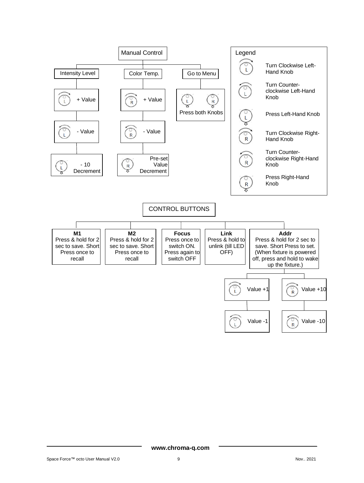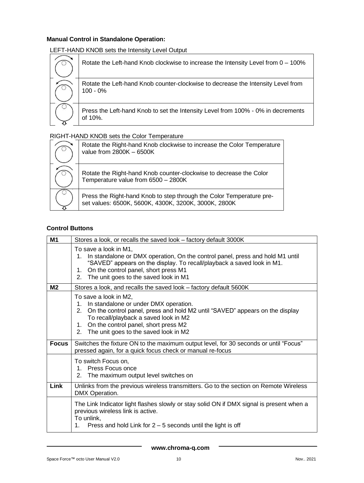#### **Manual Control in Standalone Operation:**

LEFT-HAND KNOB sets the Intensity Level Output

| Rotate the Left-hand Knob clockwise to increase the Intensity Level from 0 - 100%              |
|------------------------------------------------------------------------------------------------|
| Rotate the Left-hand Knob counter-clockwise to decrease the Intensity Level from<br>$100 - 0%$ |
| Press the Left-hand Knob to set the Intensity Level from 100% - 0% in decrements<br>of 10%.    |

#### RIGHT-HAND KNOB sets the Color Temperature

| Rotate the Right-hand Knob clockwise to increase the Color Temperature<br>value from 2800K - 6500K                           |
|------------------------------------------------------------------------------------------------------------------------------|
| Rotate the Right-hand Knob counter-clockwise to decrease the Color<br>Temperature value from 6500 - 2800K                    |
| Press the Right-hand Knob to step through the Color Temperature pre-<br>set values: 6500K, 5600K, 4300K, 3200K, 3000K, 2800K |

#### **Control Buttons**

| M1           | Stores a look, or recalls the saved look - factory default 3000K                                                                                                                                                                                                                        |
|--------------|-----------------------------------------------------------------------------------------------------------------------------------------------------------------------------------------------------------------------------------------------------------------------------------------|
|              | To save a look in M1,<br>1. In standalone or DMX operation, On the control panel, press and hold M1 until<br>"SAVED" appears on the display. To recall/playback a saved look in M1.<br>On the control panel, short press M1<br>1.<br>2. The unit goes to the saved look in M1           |
| M2           | Stores a look, and recalls the saved look - factory default 5600K                                                                                                                                                                                                                       |
|              | To save a look in M2,<br>1. In standalone or under DMX operation.<br>2. On the control panel, press and hold M2 until "SAVED" appears on the display<br>To recall/playback a saved look in M2<br>1. On the control panel, short press M2<br>The unit goes to the saved look in M2<br>2. |
| <b>Focus</b> | Switches the fixture ON to the maximum output level, for 30 seconds or until "Focus"<br>pressed again, for a quick focus check or manual re-focus                                                                                                                                       |
|              | To switch Focus on,<br>1. Press Focus once<br>The maximum output level switches on<br>2.                                                                                                                                                                                                |
| <b>Link</b>  | Unlinks from the previous wireless transmitters. Go to the section on Remote Wireless<br>DMX Operation.                                                                                                                                                                                 |
|              | The Link Indicator light flashes slowly or stay solid ON if DMX signal is present when a<br>previous wireless link is active.<br>To unlink,<br>Press and hold Link for $2 - 5$ seconds until the light is off<br>1.                                                                     |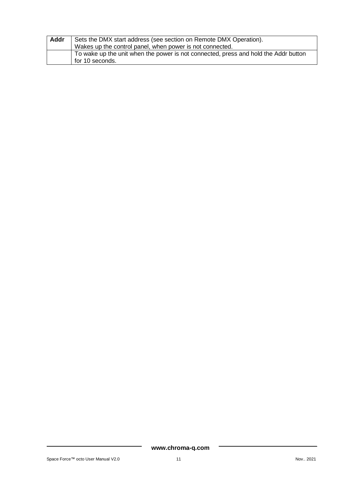| Addr | Sets the DMX start address (see section on Remote DMX Operation).                                      |  |  |
|------|--------------------------------------------------------------------------------------------------------|--|--|
|      | Wakes up the control panel, when power is not connected.                                               |  |  |
|      | To wake up the unit when the power is not connected, press and hold the Addr button<br>for 10 seconds. |  |  |
|      |                                                                                                        |  |  |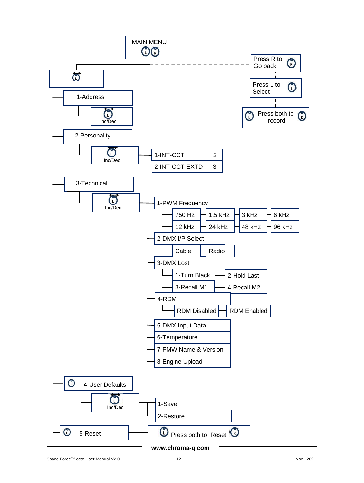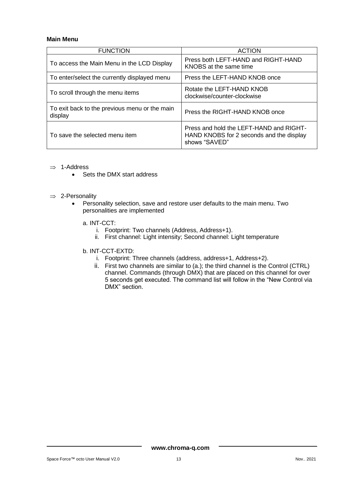#### **Main Menu**

| <b>FUNCTION</b>                                          | <b>ACTION</b>                                                                                        |
|----------------------------------------------------------|------------------------------------------------------------------------------------------------------|
| To access the Main Menu in the LCD Display               | Press both LEFT-HAND and RIGHT-HAND<br>KNOBS at the same time                                        |
| To enter/select the currently displayed menu             | Press the LEFT-HAND KNOB once                                                                        |
| To scroll through the menu items                         | Rotate the LEFT-HAND KNOB<br>clockwise/counter-clockwise                                             |
| To exit back to the previous menu or the main<br>display | Press the RIGHT-HAND KNOB once                                                                       |
| To save the selected menu item                           | Press and hold the LEFT-HAND and RIGHT-<br>HAND KNOBS for 2 seconds and the display<br>shows "SAVED" |

- $\Rightarrow$  1-Address
	- Sets the DMX start address
- $\Rightarrow$  2-Personality
	- Personality selection, save and restore user defaults to the main menu. Two personalities are implemented
		- a. INT-CCT:
			- i. Footprint: Two channels (Address, Address+1).
			- ii. First channel: Light intensity; Second channel: Light temperature
		- b. INT-CCT-EXTD:
			- i. Footprint: Three channels (address, address+1, Address+2).
			- ii. First two channels are similar to (a.); the third channel is the Control (CTRL) channel. Commands (through DMX) that are placed on this channel for over 5 seconds get executed. The command list will follow in the "New Control via DMX" section.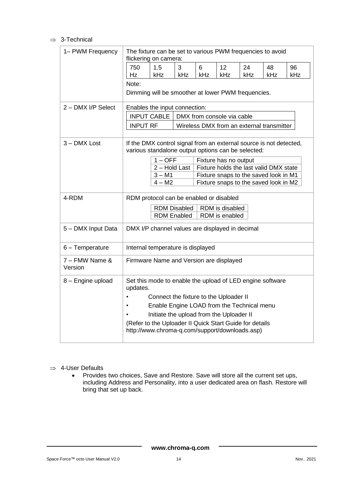#### $\Rightarrow$  3-Technical

| 1- PWM Frequency          | The fixture can be set to various PWM frequencies to avoid<br>flickering on camera:                                                                                                                                                                                                                                                   |  |  |
|---------------------------|---------------------------------------------------------------------------------------------------------------------------------------------------------------------------------------------------------------------------------------------------------------------------------------------------------------------------------------|--|--|
|                           | 750<br>1.5<br>24<br>3<br>6<br>12 <sup>2</sup><br>48<br>96<br><b>kHz</b><br><b>kHz</b><br>kHz<br>kHz<br>kHz<br>kHz<br>kHz.<br>Hz                                                                                                                                                                                                       |  |  |
|                           | Note:<br>Dimming will be smoother at lower PWM frequencies.                                                                                                                                                                                                                                                                           |  |  |
| 2 - DMX I/P Select        | Enables the input connection:                                                                                                                                                                                                                                                                                                         |  |  |
|                           | INPUT CABLE<br>DMX from console via cable                                                                                                                                                                                                                                                                                             |  |  |
|                           | <b>INPUT RF</b><br>Wireless DMX from an external transmitter                                                                                                                                                                                                                                                                          |  |  |
| 3 - DMX Lost              | If the DMX control signal from an external source is not detected,<br>various standalone output options can be selected:<br>$1 - OFF$<br>Fixture has no output<br>$2 -$ Hold Last<br>Fixture holds the last valid DMX state<br>$3 - M1$<br>Fixture snaps to the saved look in M1<br>$4 - M2$<br>Fixture snaps to the saved look in M2 |  |  |
| 4-RDM                     | RDM protocol can be enabled or disabled<br>RDM is disabled<br><b>RDM Disabled</b><br><b>RDM Enabled</b><br>RDM is enabled                                                                                                                                                                                                             |  |  |
| 5 - DMX Input Data        | DMX I/P channel values are displayed in decimal                                                                                                                                                                                                                                                                                       |  |  |
| 6 - Temperature           | Internal temperature is displayed                                                                                                                                                                                                                                                                                                     |  |  |
| 7 – FMW Name &<br>Version | Firmware Name and Version are displayed                                                                                                                                                                                                                                                                                               |  |  |
| 8 - Engine upload         | Set this mode to enable the upload of LED engine software<br>updates.<br>Connect the fixture to the Uploader II<br>Enable Engine LOAD from the Technical menu<br>Initiate the upload from the Uploader II<br>(Refer to the Uploader II Quick Start Guide for details<br>http://www.chroma-q.com/support/downloads.asp)                |  |  |

#### $\Rightarrow$  4-User Defaults

• Provides two choices, Save and Restore. Save will store all the current set ups, including Address and Personality, into a user dedicated area on flash. Restore will bring that set up back.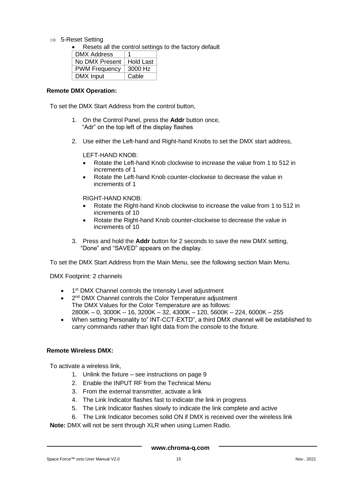$\Rightarrow$  5-Reset Setting

• Resets all the control settings to the factory default

| <b>DMX Address</b>   | 1         |
|----------------------|-----------|
| No DMX Present       | Hold Last |
| <b>PWM Frequency</b> | 3000 Hz   |
| DMX Input            | Cable     |

#### **Remote DMX Operation:**

To set the DMX Start Address from the control button,

- 1. On the Control Panel, press the **Addr** button once, "Adr" on the top left of the display flashes
- 2. Use either the Left-hand and Right-hand Knobs to set the DMX start address,

LEFT-HAND KNOB:

- Rotate the Left-hand Knob clockwise to increase the value from 1 to 512 in increments of 1
- Rotate the Left-hand Knob counter-clockwise to decrease the value in increments of 1

RIGHT-HAND KNOB:

- Rotate the Right-hand Knob clockwise to increase the value from 1 to 512 in increments of 10
- Rotate the Right-hand Knob counter-clockwise to decrease the value in increments of 10
- 3. Press and hold the **Addr** button for 2 seconds to save the new DMX setting, "Done" and "SAVED" appears on the display.

To set the DMX Start Address from the Main Menu, see the following section Main Menu.

DMX Footprint: 2 channels

- 1<sup>st</sup> DMX Channel controls the Intensity Level adjustment
- 2<sup>nd</sup> DMX Channel controls the Color Temperature adjustment The DMX Values for the Color Temperature are as follows: 2800K – 0, 3000K – 16, 3200K – 32, 4300K – 120, 5600K – 224, 6000K – 255
- When setting Personality to" INT-CCT-EXTD", a third DMX channel will be established to carry commands rather than light data from the console to the fixture.

#### **Remote Wireless DMX:**

To activate a wireless link,

- 1. Unlink the fixture see instructions on page 9
- 2. Enable the INPUT RF from the Technical Menu
- 3. From the external transmitter, activate a link
- 4. The Link Indicator flashes fast to indicate the link in progress
- 5. The Link Indicator flashes slowly to indicate the link complete and active
- 6. The Link Indicator becomes solid ON if DMX is received over the wireless link

**Note:** DMX will not be sent through XLR when using Lumen Radio.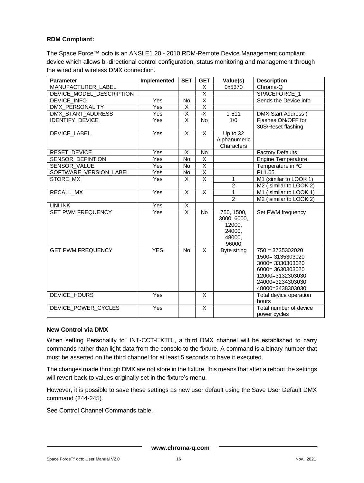#### **RDM Compliant:**

The Space Force™ octo is an ANSI E1.20 - 2010 RDM-Remote Device Management compliant device which allows bi-directional control configuration, status monitoring and management through the wired and wireless DMX connection.

| <b>Parameter</b>          | Implemented             | <b>SET</b>              | <b>GET</b>              | Value(s)       | <b>Description</b>           |
|---------------------------|-------------------------|-------------------------|-------------------------|----------------|------------------------------|
| <b>MANUFACTURER LABEL</b> |                         |                         | X                       | 0x5370         | Chroma-Q                     |
| DEVICE_MODEL_DESCRIPTION  |                         |                         | X                       |                | SPACEFORCE_1                 |
| <b>DEVICE INFO</b>        | Yes                     | No                      | $\overline{\mathsf{X}}$ |                | Sends the Device info        |
| <b>DMX PERSONALITY</b>    | Yes                     | $\overline{\mathsf{x}}$ | $\overline{X}$          |                |                              |
| DMX_START_ADDRESS         | Yes                     | $\overline{\mathsf{X}}$ | $\overline{\mathsf{x}}$ | $1 - 511$      | <b>DMX Start Address</b>     |
| <b>IDENTIFY_DEVICE</b>    | Yes                     | X                       | <b>No</b>               | 1/0            | Flashes ON/OFF for           |
|                           |                         |                         |                         |                | 30S/Reset flashing           |
| <b>DEVICE LABEL</b>       | Yes                     | $\mathsf{x}$            | X                       | Up to 32       |                              |
|                           |                         |                         |                         | Alphanumeric   |                              |
|                           |                         |                         |                         | Characters     |                              |
| <b>RESET DEVICE</b>       | Yes                     | $\overline{X}$          | <b>No</b>               |                | <b>Factory Defaults</b>      |
| <b>SENSOR DEFINTION</b>   | $\overline{\text{Yes}}$ | $\overline{N}$          | $\overline{X}$          |                | Engine Temperature           |
| SENSOR_VALUE              | Yes                     | No                      | $\overline{\mathsf{x}}$ |                | Temperature in °C            |
| SOFTWARE_VERSION_LABEL    | Yes                     | No                      | $\overline{\mathsf{x}}$ |                | PL1.65                       |
| STORE MX                  | Yes                     | X                       | $\overline{\mathsf{x}}$ | 1              | M1 (similar to LOOK 1)       |
|                           |                         |                         |                         | $\overline{2}$ | M2 (similar to LOOK 2)       |
| RECALL MX                 | Yes                     | X                       | $\overline{\mathsf{x}}$ | $\mathbf{1}$   | similar to LOOK 1)<br>$M1$ ( |
|                           |                         |                         |                         | $\overline{2}$ | similar to LOOK 2)<br>M2(    |
| <b>UNLINK</b>             | Yes                     | $\overline{X}$          |                         |                |                              |
| <b>SET PWM FREQUENCY</b>  | Yes                     | $\overline{\mathsf{x}}$ | <b>No</b>               | 750, 1500,     | Set PWM frequency            |
|                           |                         |                         |                         | 3000, 6000,    |                              |
|                           |                         |                         |                         | 12000.         |                              |
|                           |                         |                         |                         | 24000,         |                              |
|                           |                         |                         |                         | 48000,         |                              |
|                           |                         |                         |                         | 96000          |                              |
| <b>GET PWM FREQUENCY</b>  | <b>YES</b>              | <b>No</b>               | X                       | Byte string    | $750 = 3735302020$           |
|                           |                         |                         |                         |                | 1500= 3135303020             |
|                           |                         |                         |                         |                | 3000=3330303020              |
|                           |                         |                         |                         |                | 6000= 3630303020             |
|                           |                         |                         |                         |                | 12000=3132303030             |
|                           |                         |                         |                         |                | 24000=3234303030             |
|                           |                         |                         |                         |                | 48000=3438303030             |
| DEVICE_HOURS              | Yes                     |                         | X                       |                | Total device operation       |
|                           |                         |                         |                         |                | hours                        |
| DEVICE_POWER_CYCLES       | Yes                     |                         | X                       |                | Total number of device       |
|                           |                         |                         |                         |                | power cycles                 |

#### **New Control via DMX**

When setting Personality to" INT-CCT-EXTD", a third DMX channel will be established to carry commands rather than light data from the console to the fixture. A command is a binary number that must be asserted on the third channel for at least 5 seconds to have it executed.

The changes made through DMX are not store in the fixture, this means that after a reboot the settings will revert back to values originally set in the fixture's menu.

However, it is possible to save these settings as new user default using the Save User Default DMX command (244-245).

See Control Channel Commands table.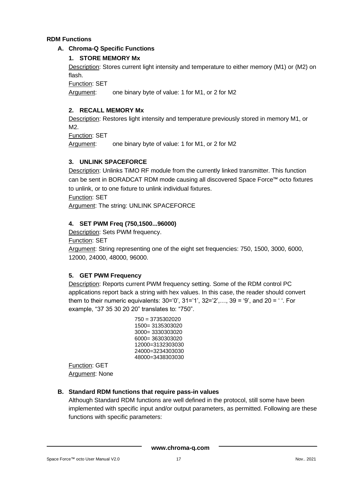#### **RDM Functions**

#### **A. Chroma-Q Specific Functions**

#### **1. STORE MEMORY Mx**

Description: Stores current light intensity and temperature to either memory (M1) or (M2) on flash.

Function: SET

Argument: one binary byte of value: 1 for M1, or 2 for M2

#### **2. RECALL MEMORY Mx**

Description: Restores light intensity and temperature previously stored in memory M1, or M2.

Function: SET

Argument: one binary byte of value: 1 for M1, or 2 for M2

#### **3. UNLINK SPACEFORCE**

Description: Unlinks TiMO RF module from the currently linked transmitter. This function can be sent in BORADCAT RDM mode causing all discovered Space Force™ octo fixtures to unlink, or to one fixture to unlink individual fixtures.

Function: SET

Argument: The string: UNLINK SPACEFORCE

#### **4. SET PWM Freq (750,1500...96000)**

Description: Sets PWM frequency.

**Function: SET** 

Argument: String representing one of the eight set frequencies: 750, 1500, 3000, 6000, 12000, 24000, 48000, 96000.

#### **5. GET PWM Frequency**

Description: Reports current PWM frequency setting. Some of the RDM control PC applications report back a string with hex values. In this case, the reader should convert them to their numeric equivalents:  $30=0'$ ,  $31=1'$ ,  $32=2'$ ,...,  $39=9'$ , and  $20=1'$ . For example, "37 35 30 20 20" translates to: "750".

> 48000=3438303030 750 = 3735302020 1500= 3135303020 3000= 3330303020 6000= 3630303020 12000=3132303030 24000=3234303030

Function: GET Argument: None

#### **B. Standard RDM functions that require pass-in values**

Although Standard RDM functions are well defined in the protocol, still some have been implemented with specific input and/or output parameters, as permitted. Following are these functions with specific parameters: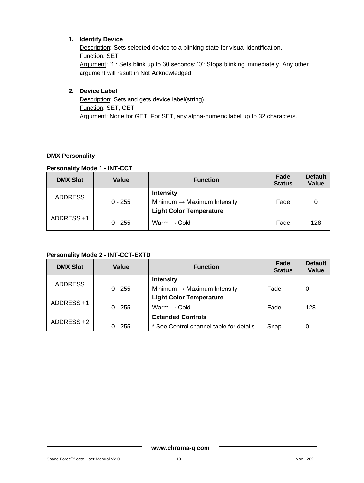#### **1. Identify Device**

Description: Sets selected device to a blinking state for visual identification. Function: SET Argument: '1': Sets blink up to 30 seconds; '0': Stops blinking immediately. Any other argument will result in Not Acknowledged.

#### **2. Device Label**

Description: Sets and gets device label(string). Function: SET, GET Argument: None for GET. For SET, any alpha-numeric label up to 32 characters.

#### **DMX Personality**

#### **Personality Mode 1 - INT-CCT**

| <b>DMX Slot</b> | Value     | <b>Function</b>                         | Fade<br><b>Status</b> | <b>Default</b><br>Value |
|-----------------|-----------|-----------------------------------------|-----------------------|-------------------------|
| <b>ADDRESS</b>  |           | <b>Intensity</b>                        |                       |                         |
|                 | $0 - 255$ | Minimum $\rightarrow$ Maximum Intensity | Fade                  |                         |
|                 |           | <b>Light Color Temperature</b>          |                       |                         |
| ADDRESS +1      | $0 - 255$ | Warm $\rightarrow$ Cold                 | Fade                  | 128                     |

#### **Personality Mode 2 - INT-CCT-EXTD**

| <b>DMX Slot</b> | Value     | <b>Function</b>                         | Fade<br><b>Status</b> | <b>Default</b><br>Value |
|-----------------|-----------|-----------------------------------------|-----------------------|-------------------------|
| <b>ADDRESS</b>  |           | <b>Intensity</b>                        |                       |                         |
|                 | $0 - 255$ | Minimum $\rightarrow$ Maximum Intensity | Fade                  |                         |
|                 |           | <b>Light Color Temperature</b>          |                       |                         |
| ADDRESS +1      | $0 - 255$ | Warm $\rightarrow$ Cold                 | Fade                  | 128                     |
| ADDRESS +2      |           | <b>Extended Controls</b>                |                       |                         |
|                 | $0 - 255$ | * See Control channel table for details | Snap                  |                         |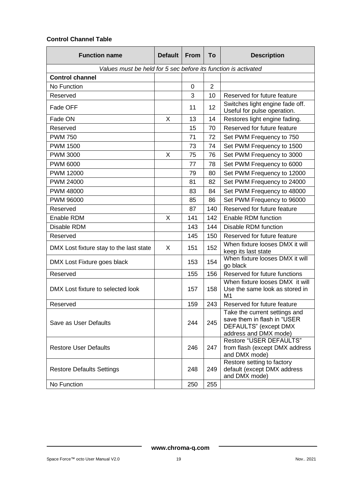#### **Control Channel Table**

| <b>Function name</b>                                           | <b>Default</b> | <b>From</b> | To             | <b>Description</b>                                                                                             |
|----------------------------------------------------------------|----------------|-------------|----------------|----------------------------------------------------------------------------------------------------------------|
| Values must be held for 5 sec before its function is activated |                |             |                |                                                                                                                |
| <b>Control channel</b>                                         |                |             |                |                                                                                                                |
| No Function                                                    |                | 0           | $\overline{2}$ |                                                                                                                |
| Reserved                                                       |                | 3           | 10             | Reserved for future feature                                                                                    |
| Fade OFF                                                       |                | 11          | 12             | Switches light engine fade off.<br>Useful for pulse operation.                                                 |
| Fade ON                                                        | X              | 13          | 14             | Restores light engine fading.                                                                                  |
| Reserved                                                       |                | 15          | 70             | Reserved for future feature                                                                                    |
| <b>PWM 750</b>                                                 |                | 71          | 72             | Set PWM Frequency to 750                                                                                       |
| <b>PWM 1500</b>                                                |                | 73          | 74             | Set PWM Frequency to 1500                                                                                      |
| <b>PWM 3000</b>                                                | Х              | 75          | 76             | Set PWM Frequency to 3000                                                                                      |
| <b>PWM 6000</b>                                                |                | 77          | 78             | Set PWM Frequency to 6000                                                                                      |
| PWM 12000                                                      |                | 79          | 80             | Set PWM Frequency to 12000                                                                                     |
| PWM 24000                                                      |                | 81          | 82             | Set PWM Frequency to 24000                                                                                     |
| <b>PWM 48000</b>                                               |                | 83          | 84             | Set PWM Frequency to 48000                                                                                     |
| PWM 96000                                                      |                | 85          | 86             | Set PWM Frequency to 96000                                                                                     |
| Reserved                                                       |                | 87          | 140            | Reserved for future feature                                                                                    |
| Enable RDM                                                     | X              | 141         | 142            | Enable RDM function                                                                                            |
| Disable RDM                                                    |                | 143         | 144            | Disable RDM function                                                                                           |
| Reserved                                                       |                | 145         | 150            | Reserved for future feature                                                                                    |
| DMX Lost fixture stay to the last state                        | X              | 151         | 152            | When fixture looses DMX it will<br>keep its last state                                                         |
| DMX Lost Fixture goes black                                    |                | 153         | 154            | When fixture looses DMX it will<br>go black                                                                    |
| Reserved                                                       |                | 155         | 156            | Reserved for future functions                                                                                  |
| DMX Lost fixture to selected look                              |                | 157         | 158            | When fixture looses DMX it will<br>Use the same look as stored in<br>M1                                        |
| Reserved                                                       |                | 159         | 243            | Reserved for future feature                                                                                    |
| Save as User Defaults                                          |                | 244         | 245            | Take the current settings and<br>save them in flash in "USER<br>DEFAULTS" (except DMX<br>address and DMX mode) |
| <b>Restore User Defaults</b>                                   |                | 246         | 247            | <b>Restore "USER DEFAULTS"</b><br>from flash (except DMX address<br>and DMX mode)                              |
| <b>Restore Defaults Settings</b>                               |                | 248         | 249            | Restore setting to factory<br>default (except DMX address<br>and DMX mode)                                     |
| No Function                                                    |                | 250         | 255            |                                                                                                                |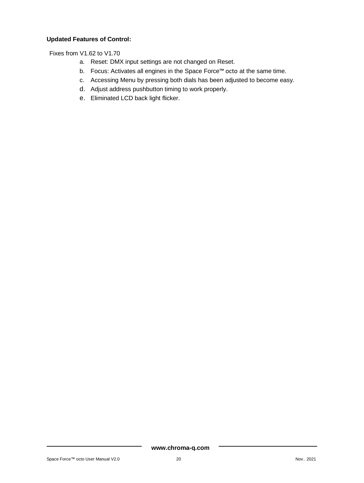#### **Updated Features of Control:**

Fixes from V1.62 to V1.70

- a. Reset: DMX input settings are not changed on Reset.
- b. Focus: Activates all engines in the Space Force™ octo at the same time.
- c. Accessing Menu by pressing both dials has been adjusted to become easy.
- d. Adjust address pushbutton timing to work properly.
- e. Eliminated LCD back light flicker.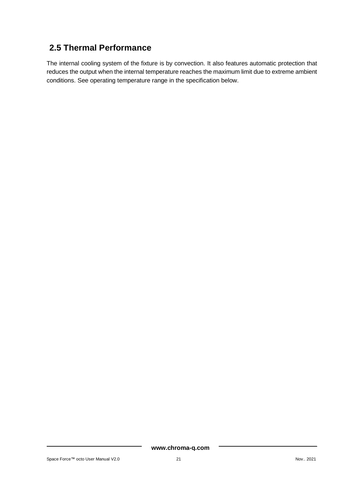# <span id="page-21-0"></span>**2.5 Thermal Performance**

The internal cooling system of the fixture is by convection. It also features automatic protection that reduces the output when the internal temperature reaches the maximum limit due to extreme ambient conditions. See operating temperature range in the specification below.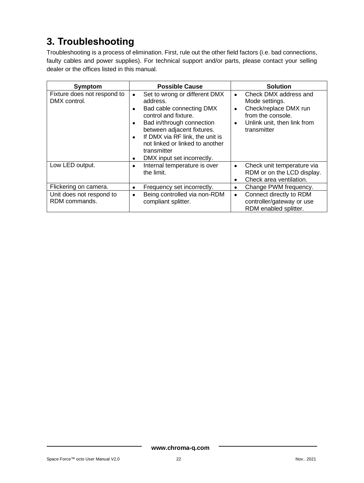# <span id="page-22-0"></span>**3. Troubleshooting**

Troubleshooting is a process of elimination. First, rule out the other field factors (i.e. bad connections, faulty cables and power supplies). For technical support and/or parts, please contact your selling dealer or the offices listed in this manual.

| Symptom                                     | <b>Possible Cause</b>                                                                                                                                                                                                                                                                                                | <b>Solution</b>                                                                                                                                            |
|---------------------------------------------|----------------------------------------------------------------------------------------------------------------------------------------------------------------------------------------------------------------------------------------------------------------------------------------------------------------------|------------------------------------------------------------------------------------------------------------------------------------------------------------|
| Fixture does not respond to<br>DMX control. | Set to wrong or different DMX<br>$\bullet$<br>address.<br>Bad cable connecting DMX<br>٠<br>control and fixture.<br>Bad in/through connection<br>٠<br>between adjacent fixtures.<br>If DMX via RF link, the unit is<br>$\bullet$<br>not linked or linked to another<br>transmitter<br>DMX input set incorrectly.<br>٠ | Check DMX address and<br>$\bullet$<br>Mode settings.<br>Check/replace DMX run<br>٠<br>from the console.<br>Unlink unit, then link from<br>٠<br>transmitter |
| Low LED output.                             | Internal temperature is over<br>$\bullet$<br>the limit.                                                                                                                                                                                                                                                              | Check unit temperature via<br>$\bullet$<br>RDM or on the LCD display.<br>Check area ventilation.<br>٠                                                      |
| Flickering on camera.                       | Frequency set incorrectly.<br>٠                                                                                                                                                                                                                                                                                      | Change PWM frequency.<br>$\bullet$                                                                                                                         |
| Unit does not respond to<br>RDM commands.   | Being controlled via non-RDM<br>٠<br>compliant splitter.                                                                                                                                                                                                                                                             | Connect directly to RDM<br>$\bullet$<br>controller/gateway or use<br>RDM enabled splitter.                                                                 |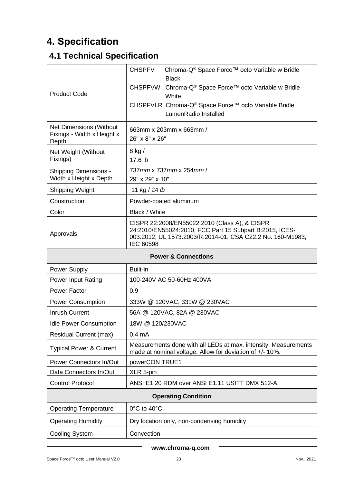# <span id="page-23-0"></span>**4. Specification**

# <span id="page-23-1"></span>**4.1 Technical Specification**

| <b>Product Code</b>                                                   | <b>CHSPFV</b><br>Chroma-Q® Space Force™ octo Variable w Bridle<br><b>Black</b><br><b>CHSPFVW</b><br>Chroma-Q <sup>®</sup> Space Force™ octo Variable w Bridle<br>White<br>CHSPFVLR Chroma-Q® Space Force™ octo Variable Bridle<br>LumenRadio Installed |  |
|-----------------------------------------------------------------------|--------------------------------------------------------------------------------------------------------------------------------------------------------------------------------------------------------------------------------------------------------|--|
| <b>Net Dimensions (Without</b><br>Fixings - Width x Height x<br>Depth | 663mm x 203mm x 663mm /<br>26" x 8" x 26"                                                                                                                                                                                                              |  |
| Net Weight (Without<br>Fixings)                                       | $8$ kg $/$<br>17.6 lb                                                                                                                                                                                                                                  |  |
| <b>Shipping Dimensions -</b><br>Width x Height x Depth                | 737mm x 737mm x 254mm /<br>29" x 29" x 10"                                                                                                                                                                                                             |  |
| <b>Shipping Weight</b>                                                | 11 kg / 24 lb                                                                                                                                                                                                                                          |  |
| Construction                                                          | Powder-coated aluminum                                                                                                                                                                                                                                 |  |
| Color                                                                 | Black / White                                                                                                                                                                                                                                          |  |
| Approvals                                                             | CISPR 22:2008/EN55022:2010 (Class A), & CISPR<br>24:2010/EN55024:2010, FCC Part 15 Subpart B:2015, ICES-<br>003:2012; UL 1573:2003/R:2014-01, CSA C22.2 No. 160-M1983,<br>IEC 60598                                                                    |  |
| <b>Power &amp; Connections</b>                                        |                                                                                                                                                                                                                                                        |  |
|                                                                       |                                                                                                                                                                                                                                                        |  |
| Power Supply                                                          | Built-in                                                                                                                                                                                                                                               |  |
| Power Input Rating                                                    | 100-240V AC 50-60Hz 400VA                                                                                                                                                                                                                              |  |
| Power Factor                                                          | 0.9                                                                                                                                                                                                                                                    |  |
| <b>Power Consumption</b>                                              | 333W @ 120VAC, 331W @ 230VAC                                                                                                                                                                                                                           |  |
| <b>Inrush Current</b>                                                 | 56A @ 120VAC, 82A @ 230VAC                                                                                                                                                                                                                             |  |
| <b>Idle Power Consumption</b>                                         | 18W @ 120/230VAC                                                                                                                                                                                                                                       |  |
| Residual Current (max)                                                | $0.4 \text{ mA}$                                                                                                                                                                                                                                       |  |
| <b>Typical Power &amp; Current</b>                                    | Measurements done with all LEDs at max. intensity. Measurements<br>made at nominal voltage. Allow for deviation of +/- 10%.                                                                                                                            |  |
| Power Connectors In/Out                                               | powerCON TRUE1                                                                                                                                                                                                                                         |  |
| Data Connectors In/Out                                                | XLR 5-pin                                                                                                                                                                                                                                              |  |
| <b>Control Protocol</b>                                               | ANSI E1.20 RDM over ANSI E1.11 USITT DMX 512-A,                                                                                                                                                                                                        |  |
|                                                                       | <b>Operating Condition</b>                                                                                                                                                                                                                             |  |
| <b>Operating Temperature</b>                                          | 0°C to 40°C                                                                                                                                                                                                                                            |  |
| <b>Operating Humidity</b>                                             | Dry location only, non-condensing humidity                                                                                                                                                                                                             |  |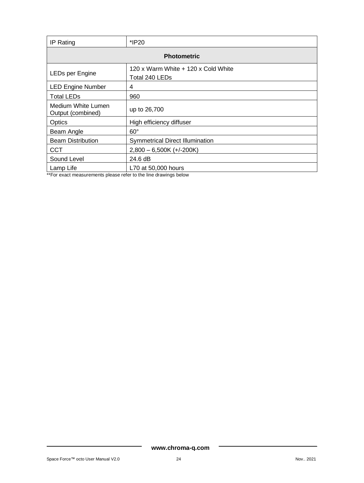| IP Rating                                | *IP20                                                                    |  |
|------------------------------------------|--------------------------------------------------------------------------|--|
| <b>Photometric</b>                       |                                                                          |  |
| LEDs per Engine                          | 120 x Warm White + 120 x Cold White<br>Total 240 LEDs                    |  |
| <b>LED Engine Number</b>                 | 4                                                                        |  |
| <b>Total LEDs</b>                        | 960                                                                      |  |
| Medium White Lumen<br>Output (combined)  | up to 26,700                                                             |  |
| Optics                                   | High efficiency diffuser                                                 |  |
| Beam Angle                               | $60^\circ$                                                               |  |
| <b>Beam Distribution</b>                 | <b>Symmetrical Direct Illumination</b>                                   |  |
| <b>CCT</b>                               | $2,800 - 6,500K (+/-200K)$                                               |  |
| Sound Level                              | 24.6 dB                                                                  |  |
| Lamp Life<br>$\sim$ $\sim$ $\sim$ $\sim$ | L70 at 50,000 hours<br>$\epsilon$ , and the set of the set of $\epsilon$ |  |

<span id="page-24-0"></span>\*\*For exact measurements please refer to the line drawings below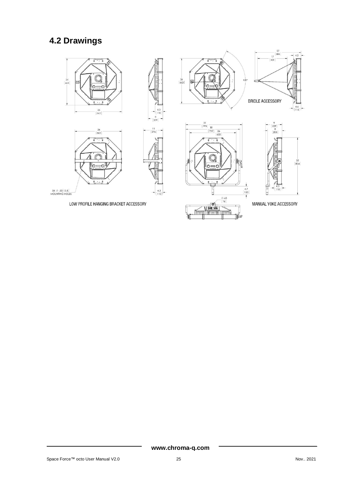# **4.2 Drawings**